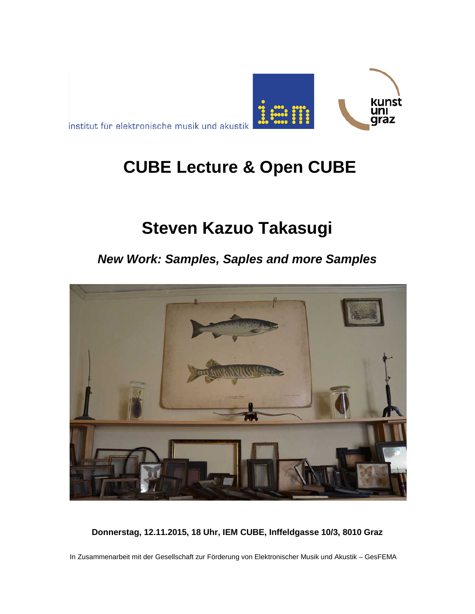

institut für elektronische musik und akustik

# **CUBE Lecture & Open CUBE**

# **Steven Kazuo Takasugi**

## *New Work: Samples, Saples and more Samples*



**Donnerstag, 12.11.2015, 18 Uhr, IEM CUBE, Inffeldgasse 10/3, 8010 Graz**

In Zusammenarbeit mit der Gesellschaft zur Förderung von Elektronischer Musik und Akustik – GesFEMA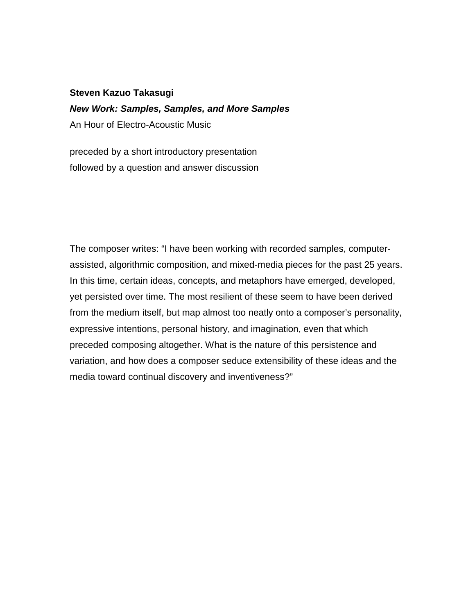#### **Steven Kazuo Takasugi**

### *New Work: Samples, Samples, and More Samples*

An Hour of Electro-Acoustic Music

preceded by a short introductory presentation followed by a question and answer discussion

The composer writes: "I have been working with recorded samples, computerassisted, algorithmic composition, and mixed-media pieces for the past 25 years. In this time, certain ideas, concepts, and metaphors have emerged, developed, yet persisted over time. The most resilient of these seem to have been derived from the medium itself, but map almost too neatly onto a composer's personality, expressive intentions, personal history, and imagination, even that which preceded composing altogether. What is the nature of this persistence and variation, and how does a composer seduce extensibility of these ideas and the media toward continual discovery and inventiveness?"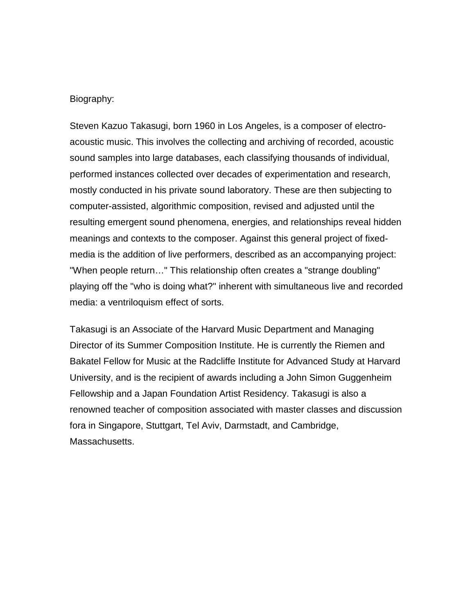#### Biography:

Steven Kazuo Takasugi, born 1960 in Los Angeles, is a composer of electroacoustic music. This involves the collecting and archiving of recorded, acoustic sound samples into large databases, each classifying thousands of individual, performed instances collected over decades of experimentation and research, mostly conducted in his private sound laboratory. These are then subjecting to computer-assisted, algorithmic composition, revised and adjusted until the resulting emergent sound phenomena, energies, and relationships reveal hidden meanings and contexts to the composer. Against this general project of fixedmedia is the addition of live performers, described as an accompanying project: "When people return…" This relationship often creates a "strange doubling" playing off the "who is doing what?" inherent with simultaneous live and recorded media: a ventriloquism effect of sorts.

Takasugi is an Associate of the Harvard Music Department and Managing Director of its Summer Composition Institute. He is currently the Riemen and Bakatel Fellow for Music at the Radcliffe Institute for Advanced Study at Harvard University, and is the recipient of awards including a John Simon Guggenheim Fellowship and a Japan Foundation Artist Residency. Takasugi is also a renowned teacher of composition associated with master classes and discussion fora in Singapore, Stuttgart, Tel Aviv, Darmstadt, and Cambridge, Massachusetts.